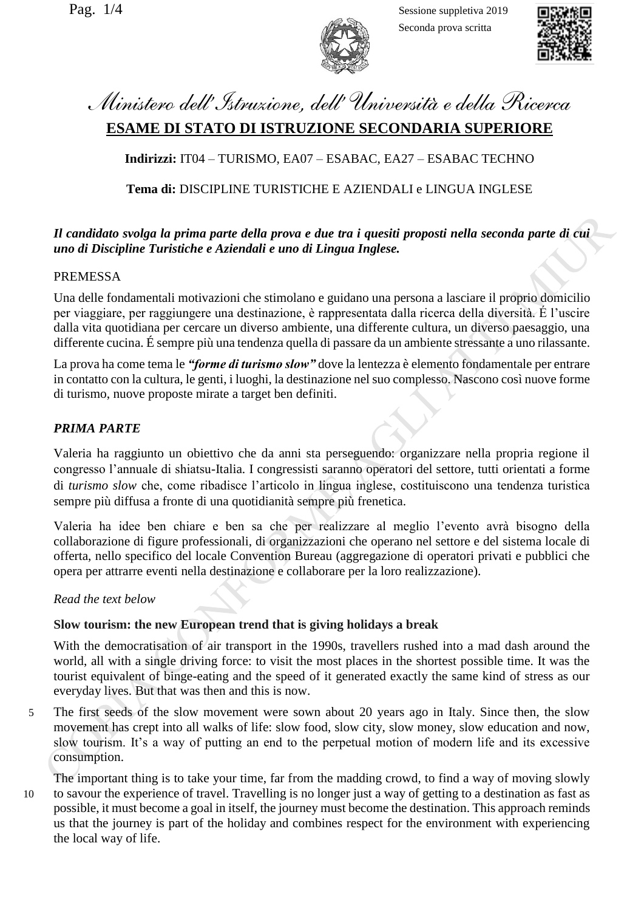Pag.  $1/4$  Sessione suppletiva 2019 Seconda prova scritta



# *Ministero dell'Istruzione, dell' Università e della Ricerca* **ESAME DI STATO DI ISTRUZIONE SECONDARIA SUPERIORE**

**Indirizzi:** IT04 – TURISMO, EA07 – ESABAC, EA27 – ESABAC TECHNO

# **Tema di:** DISCIPLINE TURISTICHE E AZIENDALI e LINGUA INGLESE

### *Il candidato svolga la prima parte della prova e due tra i quesiti proposti nella seconda parte di cui uno di Discipline Turistiche e Aziendali e uno di Lingua Inglese.*

### PREMESSA

Una delle fondamentali motivazioni che stimolano e guidano una persona a lasciare il proprio domicilio per viaggiare, per raggiungere una destinazione, è rappresentata dalla ricerca della diversità. É l'uscire dalla vita quotidiana per cercare un diverso ambiente, una differente cultura, un diverso paesaggio, una differente cucina. É sempre più una tendenza quella di passare da un ambiente stressante a uno rilassante.

La prova ha come tema le *"forme di turismo slow"* dove la lentezza è elemento fondamentale per entrare in contatto con la cultura, le genti, i luoghi, la destinazione nel suo complesso. Nascono così nuove forme di turismo, nuove proposte mirate a target ben definiti.

### *PRIMA PARTE*

Valeria ha raggiunto un obiettivo che da anni sta perseguendo: organizzare nella propria regione il congresso l'annuale di shiatsu-Italia. I congressisti saranno operatori del settore, tutti orientati a forme di *turismo slow* che, come ribadisce l'articolo in lingua inglese, costituiscono una tendenza turistica sempre più diffusa a fronte di una quotidianità sempre più frenetica.

Valeria ha idee ben chiare e ben sa che per realizzare al meglio l'evento avrà bisogno della collaborazione di figure professionali, di organizzazioni che operano nel settore e del sistema locale di offerta, nello specifico del locale Convention Bureau (aggregazione di operatori privati e pubblici che opera per attrarre eventi nella destinazione e collaborare per la loro realizzazione).

### *Read the text below*

#### **Slow tourism: the new European trend that is giving holidays a break**

With the democratisation of air transport in the 1990s, travellers rushed into a mad dash around the world, all with a single driving force: to visit the most places in the shortest possible time. It was the tourist equivalent of binge-eating and the speed of it generated exactly the same kind of stress as our everyday lives. But that was then and this is now.

5 The first seeds of the slow movement were sown about 20 years ago in Italy. Since then, the slow movement has crept into all walks of life: slow food, slow city, slow money, slow education and now, slow tourism. It's a way of putting an end to the perpetual motion of modern life and its excessive consumption.

The important thing is to take your time, far from the madding crowd, to find a way of moving slowly 10 to savour the experience of travel. Travelling is no longer just a way of getting to a destination as fast as possible, it must become a goal in itself, the journey must become the destination. This approach reminds us that the journey is part of the holiday and combines respect for the environment with experiencing the local way of life.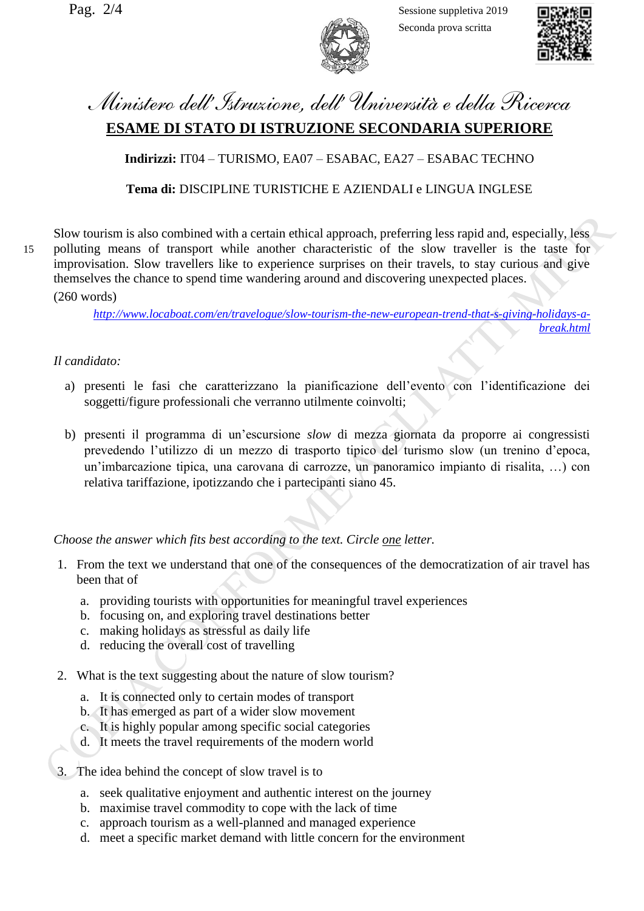Pag.  $2/4$  Sessione suppletiva 2019 Seconda prova scritta



*[break.html](http://www.locaboat.com/en/travelogue/slow-tourism-the-new-european-trend-that-s-giving-holidays-a-break.html)*

# *Ministero dell'Istruzione, dell' Università e della Ricerca* **ESAME DI STATO DI ISTRUZIONE SECONDARIA SUPERIORE**

**Indirizzi:** IT04 – TURISMO, EA07 – ESABAC, EA27 – ESABAC TECHNO

## **Tema di:** DISCIPLINE TURISTICHE E AZIENDALI e LINGUA INGLESE

Slow tourism is also combined with a certain ethical approach, preferring less rapid and, especially, less 15 polluting means of transport while another characteristic of the slow traveller is the taste for improvisation. Slow travellers like to experience surprises on their travels, to stay curious and give themselves the chance to spend time wandering around and discovering unexpected places. (260 words)

# *Il candidato:*

a) presenti le fasi che caratterizzano la pianificazione dell'evento con l'identificazione dei soggetti/figure professionali che verranno utilmente coinvolti;

*[http://www.locaboat.com/en/travelogue/slow-tourism-the-new-european-trend-that-s-giving-holidays-a-](http://www.locaboat.com/en/travelogue/slow-tourism-the-new-european-trend-that-s-giving-holidays-a-break.html)*

b) presenti il programma di un'escursione *slow* di mezza giornata da proporre ai congressisti prevedendo l'utilizzo di un mezzo di trasporto tipico del turismo slow (un trenino d'epoca, un'imbarcazione tipica, una carovana di carrozze, un panoramico impianto di risalita, …) con relativa tariffazione, ipotizzando che i partecipanti siano 45.

*Choose the answer which fits best according to the text. Circle one letter.*

- 1. From the text we understand that one of the consequences of the democratization of air travel has been that of
	- a. providing tourists with opportunities for meaningful travel experiences
	- b. focusing on, and exploring travel destinations better
	- c. making holidays as stressful as daily life
	- d. reducing the overall cost of travelling
- 2. What is the text suggesting about the nature of slow tourism?
	- a. It is connected only to certain modes of transport
	- b. It has emerged as part of a wider slow movement
	- c. It is highly popular among specific social categories
	- d. It meets the travel requirements of the modern world
- 3. The idea behind the concept of slow travel is to
	- a. seek qualitative enjoyment and authentic interest on the journey
	- b. maximise travel commodity to cope with the lack of time
	- c. approach tourism as a well-planned and managed experience
	- d. meet a specific market demand with little concern for the environment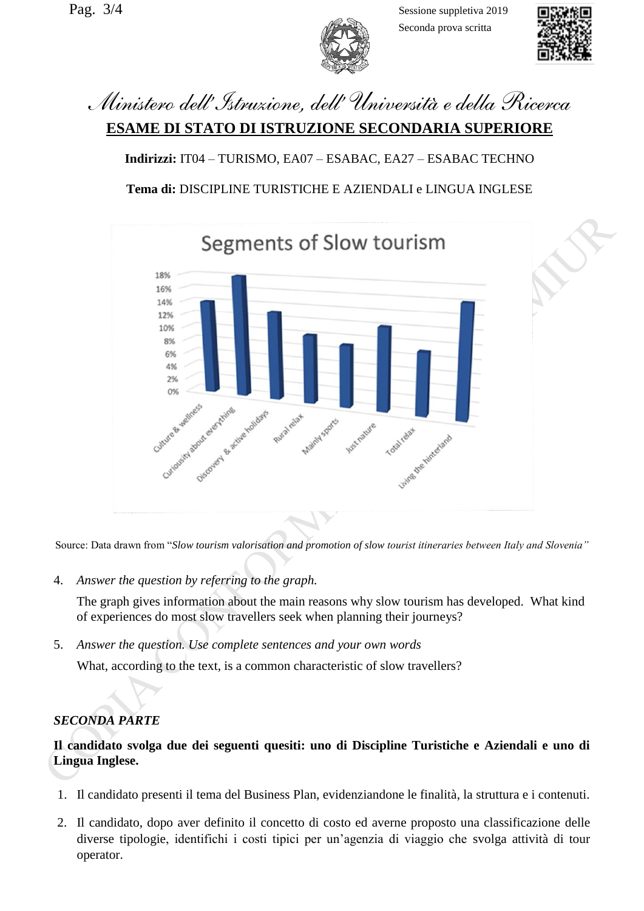Pag.  $3/4$  Sessione suppletiva 2019 Seconda prova scritta



*Ministero dell'Istruzione, dell' Università e della Ricerca* **ESAME DI STATO DI ISTRUZIONE SECONDARIA SUPERIORE**

**Indirizzi:** IT04 – TURISMO, EA07 – ESABAC, EA27 – ESABAC TECHNO **Tema di:** DISCIPLINE TURISTICHE E AZIENDALI e LINGUA INGLESE



Source: Data drawn from "*Slow tourism valorisation and promotion of slow tourist itineraries between Italy and Slovenia"*

4. *Answer the question by referring to the graph.* 

The graph gives information about the main reasons why slow tourism has developed. What kind of experiences do most slow travellers seek when planning their journeys?

5. *Answer the question. Use complete sentences and your own words*

What, according to the text, is a common characteristic of slow travellers?

# *SECONDA PARTE*

### **Il candidato svolga due dei seguenti quesiti: uno di Discipline Turistiche e Aziendali e uno di Lingua Inglese.**

- 1. Il candidato presenti il tema del Business Plan, evidenziandone le finalità, la struttura e i contenuti.
- 2. Il candidato, dopo aver definito il concetto di costo ed averne proposto una classificazione delle diverse tipologie, identifichi i costi tipici per un'agenzia di viaggio che svolga attività di tour operator.